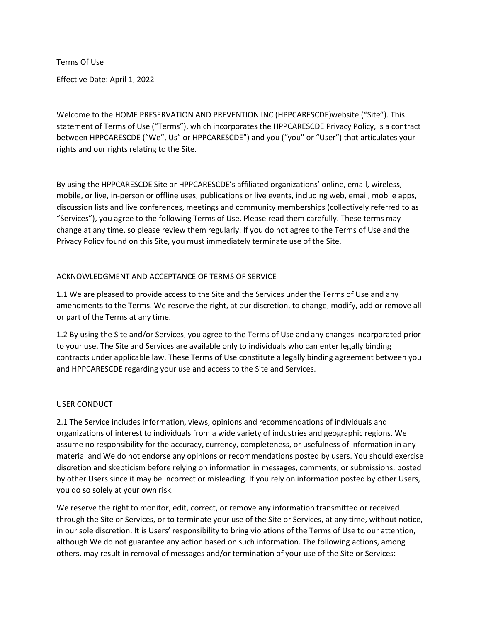Terms Of Use

Effective Date: April 1, 2022

Welcome to the HOME PRESERVATION AND PREVENTION INC (HPPCARESCDE)website ("Site"). This statement of Terms of Use ("Terms"), which incorporates the HPPCARESCDE Privacy Policy, is a contract between HPPCARESCDE ("We", Us" or HPPCARESCDE") and you ("you" or "User") that articulates your rights and our rights relating to the Site.

By using the HPPCARESCDE Site or HPPCARESCDE's affiliated organizations' online, email, wireless, mobile, or live, in-person or offline uses, publications or live events, including web, email, mobile apps, discussion lists and live conferences, meetings and community memberships (collectively referred to as "Services"), you agree to the following Terms of Use. Please read them carefully. These terms may change at any time, so please review them regularly. If you do not agree to the Terms of Use and the Privacy Policy found on this Site, you must immediately terminate use of the Site.

# ACKNOWLEDGMENT AND ACCEPTANCE OF TERMS OF SERVICE

1.1 We are pleased to provide access to the Site and the Services under the Terms of Use and any amendments to the Terms. We reserve the right, at our discretion, to change, modify, add or remove all or part of the Terms at any time.

1.2 By using the Site and/or Services, you agree to the Terms of Use and any changes incorporated prior to your use. The Site and Services are available only to individuals who can enter legally binding contracts under applicable law. These Terms of Use constitute a legally binding agreement between you and HPPCARESCDE regarding your use and access to the Site and Services.

# USER CONDUCT

2.1 The Service includes information, views, opinions and recommendations of individuals and organizations of interest to individuals from a wide variety of industries and geographic regions. We assume no responsibility for the accuracy, currency, completeness, or usefulness of information in any material and We do not endorse any opinions or recommendations posted by users. You should exercise discretion and skepticism before relying on information in messages, comments, or submissions, posted by other Users since it may be incorrect or misleading. If you rely on information posted by other Users, you do so solely at your own risk.

We reserve the right to monitor, edit, correct, or remove any information transmitted or received through the Site or Services, or to terminate your use of the Site or Services, at any time, without notice, in our sole discretion. It is Users' responsibility to bring violations of the Terms of Use to our attention, although We do not guarantee any action based on such information. The following actions, among others, may result in removal of messages and/or termination of your use of the Site or Services: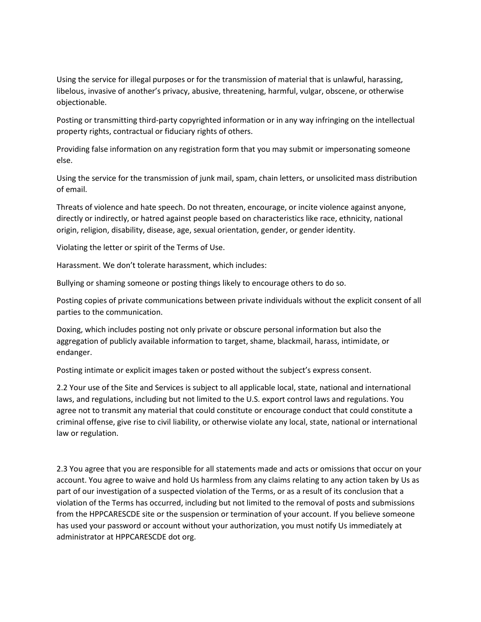Using the service for illegal purposes or for the transmission of material that is unlawful, harassing, libelous, invasive of another's privacy, abusive, threatening, harmful, vulgar, obscene, or otherwise objectionable.

Posting or transmitting third-party copyrighted information or in any way infringing on the intellectual property rights, contractual or fiduciary rights of others.

Providing false information on any registration form that you may submit or impersonating someone else.

Using the service for the transmission of junk mail, spam, chain letters, or unsolicited mass distribution of email.

Threats of violence and hate speech. Do not threaten, encourage, or incite violence against anyone, directly or indirectly, or hatred against people based on characteristics like race, ethnicity, national origin, religion, disability, disease, age, sexual orientation, gender, or gender identity.

Violating the letter or spirit of the Terms of Use.

Harassment. We don't tolerate harassment, which includes:

Bullying or shaming someone or posting things likely to encourage others to do so.

Posting copies of private communications between private individuals without the explicit consent of all parties to the communication.

Doxing, which includes posting not only private or obscure personal information but also the aggregation of publicly available information to target, shame, blackmail, harass, intimidate, or endanger.

Posting intimate or explicit images taken or posted without the subject's express consent.

2.2 Your use of the Site and Services is subject to all applicable local, state, national and international laws, and regulations, including but not limited to the U.S. export control laws and regulations. You agree not to transmit any material that could constitute or encourage conduct that could constitute a criminal offense, give rise to civil liability, or otherwise violate any local, state, national or international law or regulation.

2.3 You agree that you are responsible for all statements made and acts or omissions that occur on your account. You agree to waive and hold Us harmless from any claims relating to any action taken by Us as part of our investigation of a suspected violation of the Terms, or as a result of its conclusion that a violation of the Terms has occurred, including but not limited to the removal of posts and submissions from the HPPCARESCDE site or the suspension or termination of your account. If you believe someone has used your password or account without your authorization, you must notify Us immediately at administrator at HPPCARESCDE dot org.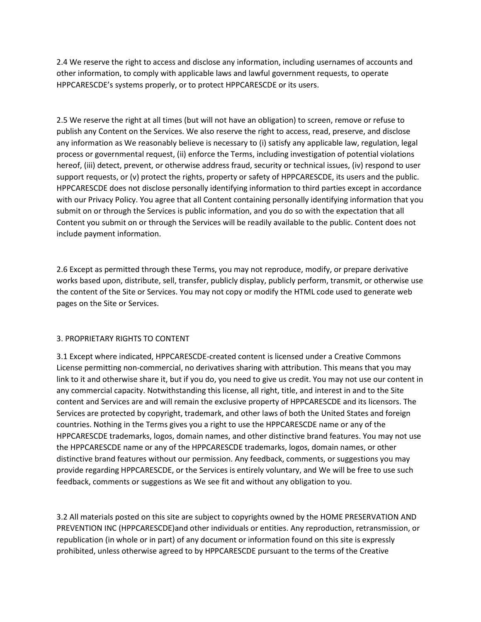2.4 We reserve the right to access and disclose any information, including usernames of accounts and other information, to comply with applicable laws and lawful government requests, to operate HPPCARESCDE's systems properly, or to protect HPPCARESCDE or its users.

2.5 We reserve the right at all times (but will not have an obligation) to screen, remove or refuse to publish any Content on the Services. We also reserve the right to access, read, preserve, and disclose any information as We reasonably believe is necessary to (i) satisfy any applicable law, regulation, legal process or governmental request, (ii) enforce the Terms, including investigation of potential violations hereof, (iii) detect, prevent, or otherwise address fraud, security or technical issues, (iv) respond to user support requests, or (v) protect the rights, property or safety of HPPCARESCDE, its users and the public. HPPCARESCDE does not disclose personally identifying information to third parties except in accordance with our Privacy Policy. You agree that all Content containing personally identifying information that you submit on or through the Services is public information, and you do so with the expectation that all Content you submit on or through the Services will be readily available to the public. Content does not include payment information.

2.6 Except as permitted through these Terms, you may not reproduce, modify, or prepare derivative works based upon, distribute, sell, transfer, publicly display, publicly perform, transmit, or otherwise use the content of the Site or Services. You may not copy or modify the HTML code used to generate web pages on the Site or Services.

# 3. PROPRIETARY RIGHTS TO CONTENT

3.1 Except where indicated, HPPCARESCDE-created content is licensed under a Creative Commons License permitting non-commercial, no derivatives sharing with attribution. This means that you may link to it and otherwise share it, but if you do, you need to give us credit. You may not use our content in any commercial capacity. Notwithstanding this license, all right, title, and interest in and to the Site content and Services are and will remain the exclusive property of HPPCARESCDE and its licensors. The Services are protected by copyright, trademark, and other laws of both the United States and foreign countries. Nothing in the Terms gives you a right to use the HPPCARESCDE name or any of the HPPCARESCDE trademarks, logos, domain names, and other distinctive brand features. You may not use the HPPCARESCDE name or any of the HPPCARESCDE trademarks, logos, domain names, or other distinctive brand features without our permission. Any feedback, comments, or suggestions you may provide regarding HPPCARESCDE, or the Services is entirely voluntary, and We will be free to use such feedback, comments or suggestions as We see fit and without any obligation to you.

3.2 All materials posted on this site are subject to copyrights owned by the HOME PRESERVATION AND PREVENTION INC (HPPCARESCDE)and other individuals or entities. Any reproduction, retransmission, or republication (in whole or in part) of any document or information found on this site is expressly prohibited, unless otherwise agreed to by HPPCARESCDE pursuant to the terms of the Creative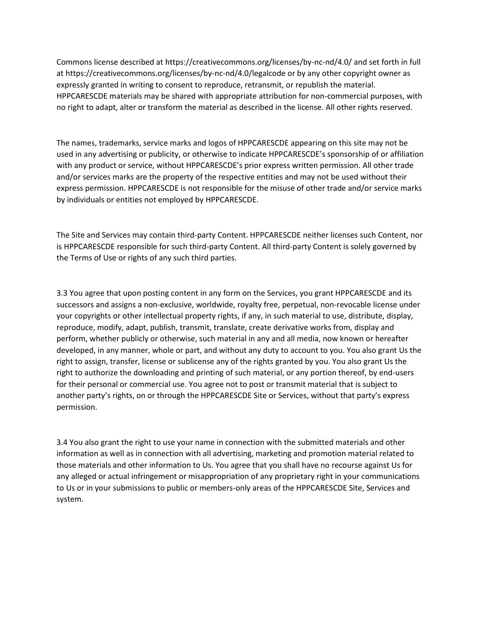Commons license described at https://creativecommons.org/licenses/by-nc-nd/4.0/ and set forth in full at https://creativecommons.org/licenses/by-nc-nd/4.0/legalcode or by any other copyright owner as expressly granted in writing to consent to reproduce, retransmit, or republish the material. HPPCARESCDE materials may be shared with appropriate attribution for non-commercial purposes, with no right to adapt, alter or transform the material as described in the license. All other rights reserved.

The names, trademarks, service marks and logos of HPPCARESCDE appearing on this site may not be used in any advertising or publicity, or otherwise to indicate HPPCARESCDE's sponsorship of or affiliation with any product or service, without HPPCARESCDE's prior express written permission. All other trade and/or services marks are the property of the respective entities and may not be used without their express permission. HPPCARESCDE is not responsible for the misuse of other trade and/or service marks by individuals or entities not employed by HPPCARESCDE.

The Site and Services may contain third-party Content. HPPCARESCDE neither licenses such Content, nor is HPPCARESCDE responsible for such third-party Content. All third-party Content is solely governed by the Terms of Use or rights of any such third parties.

3.3 You agree that upon posting content in any form on the Services, you grant HPPCARESCDE and its successors and assigns a non-exclusive, worldwide, royalty free, perpetual, non-revocable license under your copyrights or other intellectual property rights, if any, in such material to use, distribute, display, reproduce, modify, adapt, publish, transmit, translate, create derivative works from, display and perform, whether publicly or otherwise, such material in any and all media, now known or hereafter developed, in any manner, whole or part, and without any duty to account to you. You also grant Us the right to assign, transfer, license or sublicense any of the rights granted by you. You also grant Us the right to authorize the downloading and printing of such material, or any portion thereof, by end-users for their personal or commercial use. You agree not to post or transmit material that is subject to another party's rights, on or through the HPPCARESCDE Site or Services, without that party's express permission.

3.4 You also grant the right to use your name in connection with the submitted materials and other information as well as in connection with all advertising, marketing and promotion material related to those materials and other information to Us. You agree that you shall have no recourse against Us for any alleged or actual infringement or misappropriation of any proprietary right in your communications to Us or in your submissions to public or members-only areas of the HPPCARESCDE Site, Services and system.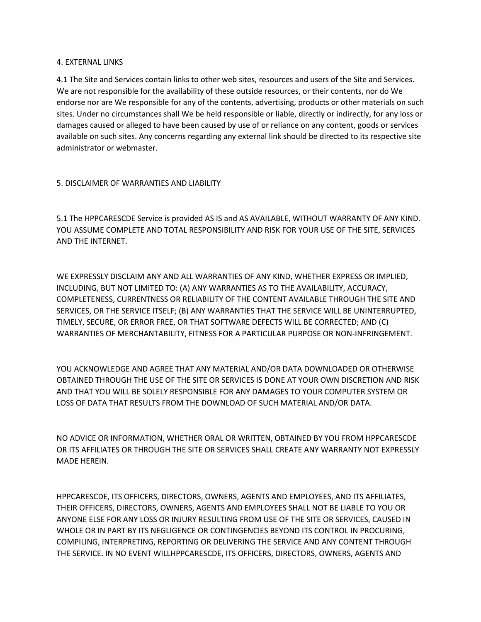### 4. EXTERNAL LINKS

4.1 The Site and Services contain links to other web sites, resources and users of the Site and Services. We are not responsible for the availability of these outside resources, or their contents, nor do We endorse nor are We responsible for any of the contents, advertising, products or other materials on such sites. Under no circumstances shall We be held responsible or liable, directly or indirectly, for any loss or damages caused or alleged to have been caused by use of or reliance on any content, goods or services available on such sites. Any concerns regarding any external link should be directed to its respective site administrator or webmaster.

# 5. DISCLAIMER OF WARRANTIES AND LIABILITY

5.1 The HPPCARESCDE Service is provided AS IS and AS AVAILABLE, WITHOUT WARRANTY OF ANY KIND. YOU ASSUME COMPLETE AND TOTAL RESPONSIBILITY AND RISK FOR YOUR USE OF THE SITE, SERVICES AND THE INTERNET.

WE EXPRESSLY DISCLAIM ANY AND ALL WARRANTIES OF ANY KIND, WHETHER EXPRESS OR IMPLIED, INCLUDING, BUT NOT LIMITED TO: (A) ANY WARRANTIES AS TO THE AVAILABILITY, ACCURACY, COMPLETENESS, CURRENTNESS OR RELIABILITY OF THE CONTENT AVAILABLE THROUGH THE SITE AND SERVICES, OR THE SERVICE ITSELF; (B) ANY WARRANTIES THAT THE SERVICE WILL BE UNINTERRUPTED, TIMELY, SECURE, OR ERROR FREE, OR THAT SOFTWARE DEFECTS WILL BE CORRECTED; AND (C) WARRANTIES OF MERCHANTABILITY, FITNESS FOR A PARTICULAR PURPOSE OR NON-INFRINGEMENT.

YOU ACKNOWLEDGE AND AGREE THAT ANY MATERIAL AND/OR DATA DOWNLOADED OR OTHERWISE OBTAINED THROUGH THE USE OF THE SITE OR SERVICES IS DONE AT YOUR OWN DISCRETION AND RISK AND THAT YOU WILL BE SOLELY RESPONSIBLE FOR ANY DAMAGES TO YOUR COMPUTER SYSTEM OR LOSS OF DATA THAT RESULTS FROM THE DOWNLOAD OF SUCH MATERIAL AND/OR DATA.

NO ADVICE OR INFORMATION, WHETHER ORAL OR WRITTEN, OBTAINED BY YOU FROM HPPCARESCDE OR ITS AFFILIATES OR THROUGH THE SITE OR SERVICES SHALL CREATE ANY WARRANTY NOT EXPRESSLY MADE HEREIN.

HPPCARESCDE, ITS OFFICERS, DIRECTORS, OWNERS, AGENTS AND EMPLOYEES, AND ITS AFFILIATES, THEIR OFFICERS, DIRECTORS, OWNERS, AGENTS AND EMPLOYEES SHALL NOT BE LIABLE TO YOU OR ANYONE ELSE FOR ANY LOSS OR INJURY RESULTING FROM USE OF THE SITE OR SERVICES, CAUSED IN WHOLE OR IN PART BY ITS NEGLIGENCE OR CONTINGENCIES BEYOND ITS CONTROL IN PROCURING, COMPILING, INTERPRETING, REPORTING OR DELIVERING THE SERVICE AND ANY CONTENT THROUGH THE SERVICE. IN NO EVENT WILLHPPCARESCDE, ITS OFFICERS, DIRECTORS, OWNERS, AGENTS AND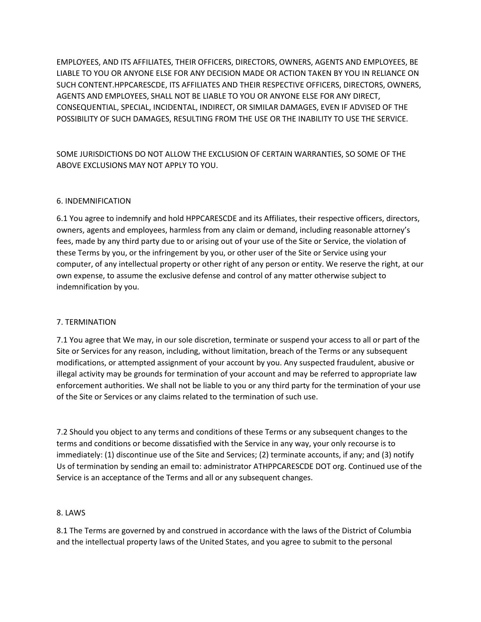EMPLOYEES, AND ITS AFFILIATES, THEIR OFFICERS, DIRECTORS, OWNERS, AGENTS AND EMPLOYEES, BE LIABLE TO YOU OR ANYONE ELSE FOR ANY DECISION MADE OR ACTION TAKEN BY YOU IN RELIANCE ON SUCH CONTENT.HPPCARESCDE, ITS AFFILIATES AND THEIR RESPECTIVE OFFICERS, DIRECTORS, OWNERS, AGENTS AND EMPLOYEES, SHALL NOT BE LIABLE TO YOU OR ANYONE ELSE FOR ANY DIRECT, CONSEQUENTIAL, SPECIAL, INCIDENTAL, INDIRECT, OR SIMILAR DAMAGES, EVEN IF ADVISED OF THE POSSIBILITY OF SUCH DAMAGES, RESULTING FROM THE USE OR THE INABILITY TO USE THE SERVICE.

SOME JURISDICTIONS DO NOT ALLOW THE EXCLUSION OF CERTAIN WARRANTIES, SO SOME OF THE ABOVE EXCLUSIONS MAY NOT APPLY TO YOU.

# 6. INDEMNIFICATION

6.1 You agree to indemnify and hold HPPCARESCDE and its Affiliates, their respective officers, directors, owners, agents and employees, harmless from any claim or demand, including reasonable attorney's fees, made by any third party due to or arising out of your use of the Site or Service, the violation of these Terms by you, or the infringement by you, or other user of the Site or Service using your computer, of any intellectual property or other right of any person or entity. We reserve the right, at our own expense, to assume the exclusive defense and control of any matter otherwise subject to indemnification by you.

# 7. TERMINATION

7.1 You agree that We may, in our sole discretion, terminate or suspend your access to all or part of the Site or Services for any reason, including, without limitation, breach of the Terms or any subsequent modifications, or attempted assignment of your account by you. Any suspected fraudulent, abusive or illegal activity may be grounds for termination of your account and may be referred to appropriate law enforcement authorities. We shall not be liable to you or any third party for the termination of your use of the Site or Services or any claims related to the termination of such use.

7.2 Should you object to any terms and conditions of these Terms or any subsequent changes to the terms and conditions or become dissatisfied with the Service in any way, your only recourse is to immediately: (1) discontinue use of the Site and Services; (2) terminate accounts, if any; and (3) notify Us of termination by sending an email to: administrator ATHPPCARESCDE DOT org. Continued use of the Service is an acceptance of the Terms and all or any subsequent changes.

# 8. LAWS

8.1 The Terms are governed by and construed in accordance with the laws of the District of Columbia and the intellectual property laws of the United States, and you agree to submit to the personal